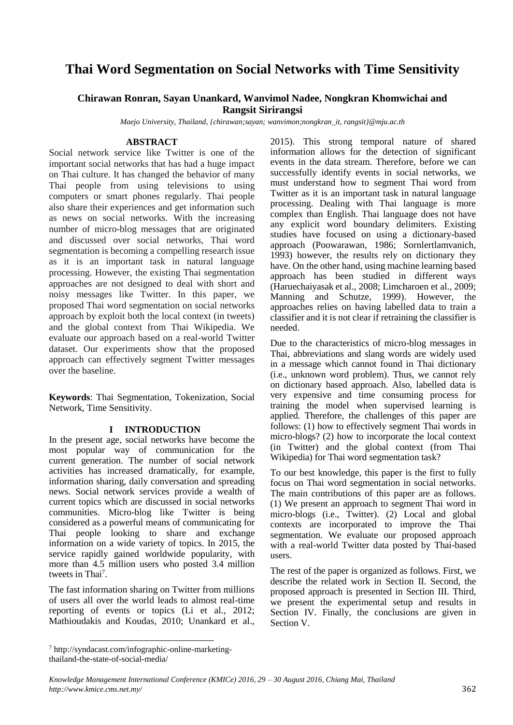# **Thai Word Segmentation on Social Networks with Time Sensitivity**

## **Chirawan Ronran, Sayan Unankard, Wanvimol Nadee, Nongkran Khomwichai and Rangsit Sirirangsi**

*Maejo University, Thailand, {chirawan;sayan; wanvimon;nongkran\_it, rangsit}@mju.ac.th*

#### **ABSTRACT**

Social network service like Twitter is one of the important social networks that has had a huge impact on Thai culture. It has changed the behavior of many Thai people from using televisions to using computers or smart phones regularly. Thai people also share their experiences and get information such as news on social networks. With the increasing number of micro-blog messages that are originated and discussed over social networks, Thai word segmentation is becoming a compelling research issue as it is an important task in natural language processing. However, the existing Thai segmentation approaches are not designed to deal with short and noisy messages like Twitter. In this paper, we proposed Thai word segmentation on social networks approach by exploit both the local context (in tweets) and the global context from Thai Wikipedia. We evaluate our approach based on a real-world Twitter dataset. Our experiments show that the proposed approach can effectively segment Twitter messages over the baseline.

**Keywords**: Thai Segmentation, Tokenization, Social Network, Time Sensitivity.

#### **I INTRODUCTION**

In the present age, social networks have become the most popular way of communication for the current generation. The number of social network activities has increased dramatically, for example, information sharing, daily conversation and spreading news. Social network services provide a wealth of current topics which are discussed in social networks communities. Micro-blog like Twitter is being considered as a powerful means of communicating for Thai people looking to share and exchange information on a wide variety of topics. In 2015, the service rapidly gained worldwide popularity, with more than 4.5 million users who posted 3.4 million tweets in Thai<sup>7</sup>.

The fast information sharing on Twitter from millions of users all over the world leads to almost real-time reporting of events or topics (Li et al., 2012; Mathioudakis and Koudas, 2010; Unankard et al., 2015). This strong temporal nature of shared information allows for the detection of significant events in the data stream. Therefore, before we can successfully identify events in social networks, we must understand how to segment Thai word from Twitter as it is an important task in natural language processing. Dealing with Thai language is more complex than English. Thai language does not have any explicit word boundary delimiters. Existing studies have focused on using a dictionary-based approach (Poowarawan, 1986; Sornlertlamvanich, 1993) however, the results rely on dictionary they have. On the other hand, using machine learning based approach has been studied in different ways (Haruechaiyasak et al., 2008; Limcharoen et al., 2009; Manning and Schutze, 1999). However, the approaches relies on having labelled data to train a classifier and it is not clear if retraining the classifier is needed.

Due to the characteristics of micro-blog messages in Thai, abbreviations and slang words are widely used in a message which cannot found in Thai dictionary (i.e., unknown word problem). Thus, we cannot rely on dictionary based approach. Also, labelled data is very expensive and time consuming process for training the model when supervised learning is applied. Therefore, the challenges of this paper are follows: (1) how to effectively segment Thai words in micro-blogs? (2) how to incorporate the local context (in Twitter) and the global context (from Thai Wikipedia) for Thai word segmentation task?

To our best knowledge, this paper is the first to fully focus on Thai word segmentation in social networks. The main contributions of this paper are as follows. (1) We present an approach to segment Thai word in micro-blogs (i.e., Twitter). (2) Local and global contexts are incorporated to improve the Thai segmentation. We evaluate our proposed approach with a real-world Twitter data posted by Thai-based users.

The rest of the paper is organized as follows. First, we describe the related work in Section II. Second, the proposed approach is presented in Section III. Third, we present the experimental setup and results in Section IV. Finally, the conclusions are given in Section V.

 $\overline{\phantom{a}}$ 

<sup>7</sup> http://syndacast.com/infographic-online-marketingthailand-the-state-of-social-media/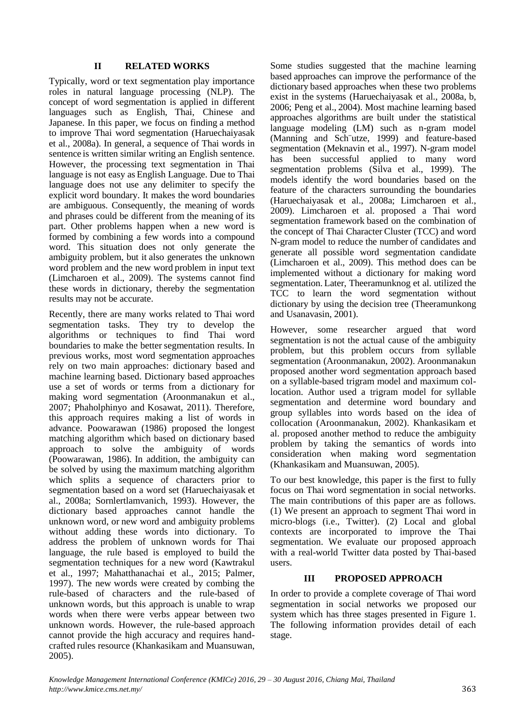### **II RELATED WORKS**

Typically, word or text segmentation play importance roles in natural language processing (NLP). The concept of word segmentation is applied in different languages such as English, Thai, Chinese and Japanese. In this paper, we focus on finding a method to improve Thai word segmentation (Haruechaiyasak et al., 2008a). In general, a sequence of Thai words in sentence is written similar writing an English sentence. However, the processing text segmentation in Thai language is not easy as English Language. Due to Thai language does not use any delimiter to specify the explicit word boundary. It makes the word boundaries are ambiguous. Consequently, the meaning of words and phrases could be different from the meaning of its part. Other problems happen when a new word is formed by combining a few words into a compound word. This situation does not only generate the ambiguity problem, but it also generates the unknown word problem and the new word problem in input text (Limcharoen et al., 2009). The systems cannot find these words in dictionary, thereby the segmentation results may not be accurate.

Recently, there are many works related to Thai word segmentation tasks. They try to develop the algorithms or techniques to find Thai word boundaries to make the better segmentation results. In previous works, most word segmentation approaches rely on two main approaches: dictionary based and machine learning based. Dictionary based approaches use a set of words or terms from a dictionary for making word segmentation (Aroonmanakun et al., 2007; Phaholphinyo and Kosawat, 2011). Therefore, this approach requires making a list of words in advance. Poowarawan (1986) proposed the longest matching algorithm which based on dictionary based approach to solve the ambiguity of words (Poowarawan, 1986). In addition, the ambiguity can be solved by using the maximum matching algorithm which splits a sequence of characters prior to segmentation based on a word set (Haruechaiyasak et al., 2008a; Sornlertlamvanich, 1993). However, the dictionary based approaches cannot handle the unknown word, or new word and ambiguity problems without adding these words into dictionary. To address the problem of unknown words for Thai language, the rule based is employed to build the segmentation techniques for a new word (Kawtrakul et al., 1997; Mahatthanachai et al., 2015; Palmer, 1997). The new words were created by combing the rule-based of characters and the rule-based of unknown words, but this approach is unable to wrap words when there were verbs appear between two unknown words. However, the rule-based approach cannot provide the high accuracy and requires handcrafted rules resource (Khankasikam and Muansuwan, 2005).

Some studies suggested that the machine learning based approaches can improve the performance of the dictionary based approaches when these two problems exist in the systems (Haruechaiyasak et al., 2008a, b, 2006; Peng et al., 2004). Most machine learning based approaches algorithms are built under the statistical language modeling (LM) such as n-gram model (Manning and Sch¨utze, 1999) and feature-based segmentation (Meknavin et al., 1997). N-gram model has been successful applied to many word segmentation problems (Silva et al., 1999). The models identify the word boundaries based on the feature of the characters surrounding the boundaries (Haruechaiyasak et al., 2008a; Limcharoen et al., 2009). Limcharoen et al. proposed a Thai word segmentation framework based on the combination of the concept of Thai Character Cluster (TCC) and word N-gram model to reduce the number of candidates and generate all possible word segmentation candidate (Limcharoen et al., 2009). This method does can be implemented without a dictionary for making word segmentation. Later, Theeramunknog et al. utilized the TCC to learn the word segmentation without dictionary by using the decision tree (Theeramunkong and Usanavasin, 2001).

However, some researcher argued that word segmentation is not the actual cause of the ambiguity problem, but this problem occurs from syllable segmentation (Aroonmanakun, 2002). Aroonmanakun proposed another word segmentation approach based on a syllable-based trigram model and maximum collocation. Author used a trigram model for syllable segmentation and determine word boundary and group syllables into words based on the idea of collocation (Aroonmanakun, 2002). Khankasikam et al. proposed another method to reduce the ambiguity problem by taking the semantics of words into consideration when making word segmentation (Khankasikam and Muansuwan, 2005).

To our best knowledge, this paper is the first to fully focus on Thai word segmentation in social networks. The main contributions of this paper are as follows. (1) We present an approach to segment Thai word in micro-blogs (i.e., Twitter). (2) Local and global contexts are incorporated to improve the Thai segmentation. We evaluate our proposed approach with a real-world Twitter data posted by Thai-based users.

#### **III PROPOSED APPROACH**

In order to provide a complete coverage of Thai word segmentation in social networks we proposed our system which has three stages presented in Figure 1. The following information provides detail of each stage.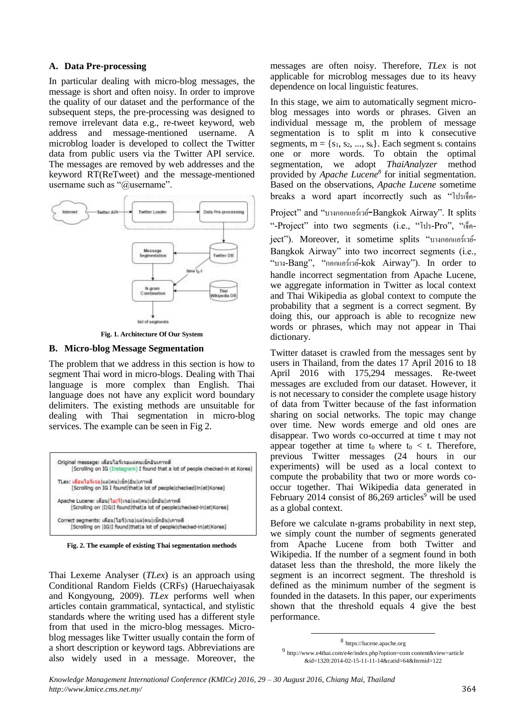#### **A. Data Pre-processing**

In particular dealing with micro-blog messages, the message is short and often noisy. In order to improve the quality of our dataset and the performance of the subsequent steps, the pre-processing was designed to remove irrelevant data e.g., re-tweet keyword, web address and message-mentioned username. A microblog loader is developed to collect the Twitter data from public users via the Twitter API service. The messages are removed by web addresses and the keyword RT(ReTweet) and the message-mentioned username such as "@username".



**Fig. 1. Architecture Of Our System**

### **B. Micro-blog Message Segmentation**

The problem that we address in this section is how to segment Thai word in micro-blogs. Dealing with Thai language is more complex than English. Thai language does not have any explicit word boundary delimiters. The existing methods are unsuitable for dealing with Thai segmentation in micro-blog services. The example can be seen in Fig 2.



**Fig. 2. The example of existing Thai segmentation methods**

Thai Lexeme Analyser (*TLex*) is an approach using Conditional Random Fields (CRFs) (Haruechaiyasak and Kongyoung, 2009). *TLex* performs well when articles contain grammatical, syntactical, and stylistic standards where the writing used has a different style from that used in the micro-blog messages. Microblog messages like Twitter usually contain the form of a short description or keyword tags. Abbreviations are also widely used in a message. Moreover, the messages are often noisy. Therefore, *TLex* is not applicable for microblog messages due to its heavy dependence on local linguistic features.

In this stage, we aim to automatically segment microblog messages into words or phrases. Given an individual message m, the problem of message segmentation is to split m into k consecutive segments,  $m = \{s_1, s_2, ..., s_k\}$ . Each segment  $s_i$  contains one or more words. To obtain the optimal segmentation, we adopt *ThaiAnalyzer* method provided by *Apache Lucene<sup>8</sup>* for initial segmentation. Based on the observations, *Apache Lucene* sometime breaks a word apart incorrectly such as "โปรเจ็ค-

Project" and "บางกอกแอร์เวย์-Bangkok Airway". It splits "-Project" into two segments (i.e., "โปร-Pro", "เจ็คject"). Moreover, it sometime splits "บางกอกแอร์เวย์- Bangkok Airway" into two incorrect segments (i.e., "บาง-Bang", "กอกแอร์เวย์-kok Airway"). In order to handle incorrect segmentation from Apache Lucene, we aggregate information in Twitter as local context and Thai Wikipedia as global context to compute the probability that a segment is a correct segment. By doing this, our approach is able to recognize new words or phrases, which may not appear in Thai dictionary.

Twitter dataset is crawled from the messages sent by users in Thailand, from the dates 17 April 2016 to 18 April 2016 with 175,294 messages. Re-tweet messages are excluded from our dataset. However, it is not necessary to consider the complete usage history of data from Twitter because of the fast information sharing on social networks. The topic may change over time. New words emerge and old ones are disappear. Two words co-occurred at time t may not appear together at time  $t_0$  where  $t_0 < t$ . Therefore, previous Twitter messages (24 hours in our experiments) will be used as a local context to compute the probability that two or more words cooccur together. Thai Wikipedia data generated in February 2014 consist of 86,269 articles<sup>9</sup> will be used as a global context.

Before we calculate n-grams probability in next step, we simply count the number of segments generated from Apache Lucene from both Twitter and Wikipedia. If the number of a segment found in both dataset less than the threshold, the more likely the segment is an incorrect segment. The threshold is defined as the minimum number of the segment is founded in the datasets. In this paper, our experiments shown that the threshold equals 4 give the best performance.

1

<sup>8</sup> https://lucene.apache.org

<sup>9</sup> http://www.e4thai.com/e4e/index.php?option=com content&view=article &id=1320:2014-02-15-11-11-14&catid=64&Itemid=122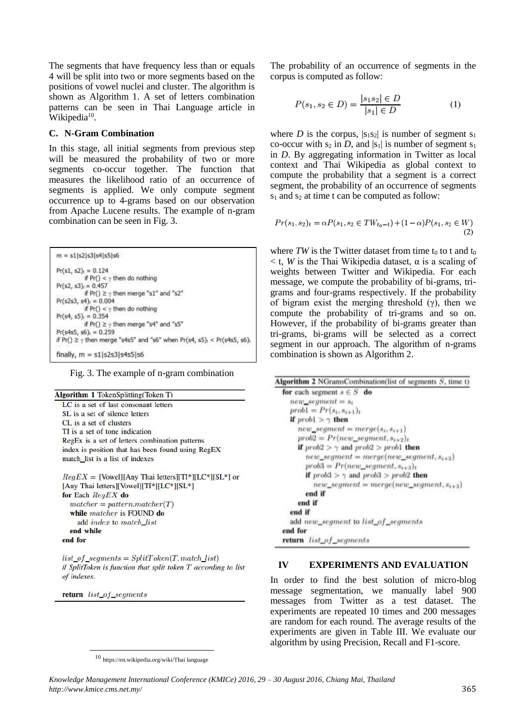The segments that have frequency less than or equals 4 will be split into two or more segments based on the positions of vowel nuclei and cluster. The algorithm is shown as Algorithm 1. A set of letters combination patterns can be seen in Thai Language article in Wikipedia<sup>10</sup>.

#### **C. N-Gram Combination**

In this stage, all initial segments from previous step will be measured the probability of two or more segments co-occur together. The function that measures the likelihood ratio of an occurrence of segments is applied. We only compute segment occurrence up to 4-grams based on our observation from Apache Lucene results. The example of n-gram combination can be seen in Fig. 3.

| $m = s1   s2   s3   s4   s5   s6$                                                      |
|----------------------------------------------------------------------------------------|
| $Pr(s1, s2)_{t} = 0.124$                                                               |
| if $Pr() < \gamma$ then do nothing                                                     |
| $Pr(s2, s3) = 0.457$                                                                   |
| if $Pr() \geq \gamma$ then merge "s1" and "s2"                                         |
| $Pr(s2s3, s4)_{r} = 0.004$                                                             |
| if $Pr() < y$ then do nothing                                                          |
| $Pr(s4, s5)_{c} = 0.354$                                                               |
| if $Pr() \geq y$ then merge "s4" and "s5"                                              |
| $Pr(s4s5, s6)_{1} = 0.259$                                                             |
| if $Pr() \geq y$ then merge "s4s5" and "s6" when $Pr(s4, s5)_{1}$ < $Pr(s4s5, s6)_{1}$ |
| finally $m = 51525315455156$                                                           |

Fig. 3. The example of n-gram combination

|         | <b>Algorithm 1 TokenSplitting(Token T)</b>            |
|---------|-------------------------------------------------------|
|         | LC is a set of last consonant letters                 |
|         | SL is a set of silence letters                        |
|         | CL is a set of clusters                               |
|         | TI is a set of tone indication                        |
|         | RegEx is a set of letters combination patterns        |
|         | index is position that has been found using RegEX     |
|         | match list is a list of indexes                       |
|         | $RegEX = [Vowel][Any That letters][TI*][LC*][SL*]$ or |
|         | [Any Thai letters][Vowel][TI*][LC*][SL*]              |
|         | for Each $\text{Re} qEX$ do                           |
|         | $matcher = pattern-matcher(T)$                        |
|         | while matcher is FOUND do                             |
|         | add <i>index</i> to match list                        |
|         | end while                                             |
| end for |                                                       |

 $list_of_segments = SplitToken(T, match\_list)$ // SplitToken is function that split token T according to list of indexes.

return list\_of\_segments

 $\overline{\phantom{a}}$ 

The probability of an occurrence of segments in the corpus is computed as follow:

$$
P(s_1, s_2 \in D) = \frac{|s_1 s_2| \in D}{|s_1| \in D} \tag{1}
$$

where *D* is the corpus,  $|s_1s_2|$  is number of segment  $s_1$ co-occur with  $s_2$  in *D*, and  $|s_1|$  is number of segment  $s_1$ in *D*. By aggregating information in Twitter as local context and Thai Wikipedia as global context to compute the probability that a segment is a correct segment, the probability of an occurrence of segments  $s_1$  and  $s_2$  at time t can be computed as follow:

$$
Pr(s_1, s_2)_t = \alpha P(s_1, s_2 \in TW_{t_0 - t}) + (1 - \alpha)P(s_1, s_2 \in W)
$$
\n(2)

where  $TW$  is the Twitter dataset from time t<sub>0</sub> to t and t<sub>0</sub>  $<$  t, *W* is the Thai Wikipedia dataset,  $\alpha$  is a scaling of weights between Twitter and Wikipedia. For each message, we compute the probability of bi-grams, trigrams and four-grams respectively. If the probability of bigram exist the merging threshold  $(y)$ , then we compute the probability of tri-grams and so on. However, if the probability of bi-grams greater than tri-grams, bi-grams will be selected as a correct segment in our approach. The algorithm of n-grams combination is shown as Algorithm 2.

|                              | <b>Algorithm 2</b> NGramsCombination(list of segments $S$ , time t)                  |
|------------------------------|--------------------------------------------------------------------------------------|
|                              | for each segment $s \in S$ do                                                        |
| $new\_segment = s_i$         |                                                                                      |
| $prob1 = Pr(s_i, s_{i+1})_t$ |                                                                                      |
| if $prob1 > \gamma$ then     |                                                                                      |
|                              | $new\_segment = merge(s_i, s_{i+1})$                                                 |
|                              | $prob2 = Pr(new\_segment, s_{i+2})$                                                  |
|                              | <b>if</b> $prob2 > \gamma$ and $prob2 > prob1$ <b>then</b>                           |
|                              | $new\_segment = merge(new\_segment, s_{i+2})$<br>$prob3 = Pr(new\_segment, s_{i+3})$ |
|                              | if $prob3 > \gamma$ and $prob3 > prob2$ then                                         |
| end if                       | $new\_segment = merge(new\_segment, s_{i+3})$                                        |
| end if                       |                                                                                      |
| end if                       |                                                                                      |
|                              | add new_segment to list_of_segments                                                  |
| end for                      |                                                                                      |
| return list of segments      |                                                                                      |

### **IV EXPERIMENTS AND EVALUATION**

In order to find the best solution of micro-blog message segmentation, we manually label 900 messages from Twitter as a test dataset. The experiments are repeated 10 times and 200 messages are random for each round. The average results of the experiments are given in Table III. We evaluate our algorithm by using Precision, Recall and F1-score.

<sup>10</sup> https://en.wikipedia.org/wiki/Thai language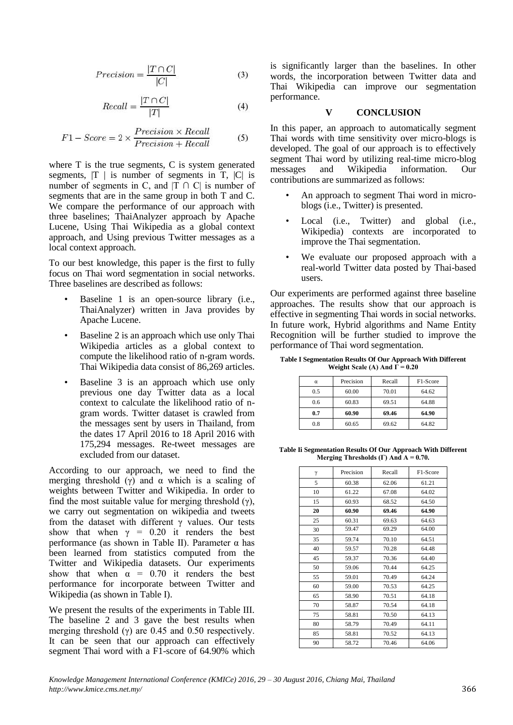$$
Precision = \frac{|T \cap C|}{|C|} \tag{3}
$$

$$
Recall = \frac{|T \cap C|}{|T|} \tag{4}
$$

$$
F1 - Score = 2 \times \frac{Precision \times Recall}{Precision + Recall}
$$
 (5)

where T is the true segments, C is system generated segments,  $|T|$  is number of segments in T,  $|C|$  is number of segments in C, and  $|T \cap C|$  is number of segments that are in the same group in both T and C. We compare the performance of our approach with three baselines; ThaiAnalyzer approach by Apache Lucene, Using Thai Wikipedia as a global context approach, and Using previous Twitter messages as a local context approach.

To our best knowledge, this paper is the first to fully focus on Thai word segmentation in social networks. Three baselines are described as follows:

- Baseline 1 is an open-source library (i.e., ThaiAnalyzer) written in Java provides by Apache Lucene.
- Baseline 2 is an approach which use only Thai Wikipedia articles as a global context to compute the likelihood ratio of n-gram words. Thai Wikipedia data consist of 86,269 articles.
- Baseline 3 is an approach which use only previous one day Twitter data as a local context to calculate the likelihood ratio of ngram words. Twitter dataset is crawled from the messages sent by users in Thailand, from the dates 17 April 2016 to 18 April 2016 with 175,294 messages. Re-tweet messages are excluded from our dataset.

According to our approach, we need to find the merging threshold (γ) and  $\alpha$  which is a scaling of weights between Twitter and Wikipedia. In order to find the most suitable value for merging threshold  $(\gamma)$ , we carry out segmentation on wikipedia and tweets from the dataset with different  $\gamma$  values. Our tests show that when  $\gamma = 0.20$  it renders the best performance (as shown in Table II). Parameter α has been learned from statistics computed from the Twitter and Wikipedia datasets. Our experiments show that when  $\alpha = 0.70$  it renders the best performance for incorporate between Twitter and Wikipedia (as shown in Table I).

We present the results of the experiments in Table III. The baseline 2 and 3 gave the best results when merging threshold  $(\gamma)$  are 0.45 and 0.50 respectively. It can be seen that our approach can effectively segment Thai word with a F1-score of 64.90% which is significantly larger than the baselines. In other words, the incorporation between Twitter data and Thai Wikipedia can improve our segmentation performance.

### **V CONCLUSION**

In this paper, an approach to automatically segment Thai words with time sensitivity over micro-blogs is developed. The goal of our approach is to effectively segment Thai word by utilizing real-time micro-blog messages and Wikipedia information. Our contributions are summarized as follows:

- An approach to segment Thai word in microblogs (i.e., Twitter) is presented.
- Local (i.e., Twitter) and global (i.e., Wikipedia) contexts are incorporated to improve the Thai segmentation.
- We evaluate our proposed approach with a real-world Twitter data posted by Thai-based users.

Our experiments are performed against three baseline approaches. The results show that our approach is effective in segmenting Thai words in social networks. In future work, Hybrid algorithms and Name Entity Recognition will be further studied to improve the performance of Thai word segmentation.

**Table I Segmentation Results Of Our Approach With Different Weight Scale (A) And**  $\overline{\Gamma} = 0.20$ 

| $\alpha$ | Precision | Recall | F1-Score |
|----------|-----------|--------|----------|
| 0.5      | 60.00     | 70.01  | 64.62    |
| 0.6      | 60.83     | 69.51  | 64.88    |
| 0.7      | 60.90     | 69.46  | 64.90    |
| 0.8      | 60.65     | 69.62  | 64.82    |

**Table Ii Segmentation Results Of Our Approach With Different Merging Thresholds (Γ) And Α = 0.70.**

| γ  | Precision | Recall | F1-Score |
|----|-----------|--------|----------|
| 5  | 60.38     | 62.06  | 61.21    |
| 10 | 61.22     | 67.08  | 64.02    |
| 15 | 60.93     | 68.52  | 64.50    |
| 20 | 60.90     | 69.46  | 64.90    |
| 25 | 60.31     | 69.63  | 64.63    |
| 30 | 59.47     | 69.29  | 64.00    |
| 35 | 59.74     | 70.10  | 64.51    |
| 40 | 59.57     | 70.28  | 64.48    |
| 45 | 59.37     | 70.36  | 64.40    |
| 50 | 59.06     | 70.44  | 64.25    |
| 55 | 59.01     | 70.49  | 64.24    |
| 60 | 59.00     | 70.53  | 64.25    |
| 65 | 58.90     | 70.51  | 64.18    |
| 70 | 58.87     | 70.54  | 64.18    |
| 75 | 58.81     | 70.50  | 64.13    |
| 80 | 58.79     | 70.49  | 64.11    |
| 85 | 58.81     | 70.52  | 64.13    |
| 90 | 58.72     | 70.46  | 64.06    |